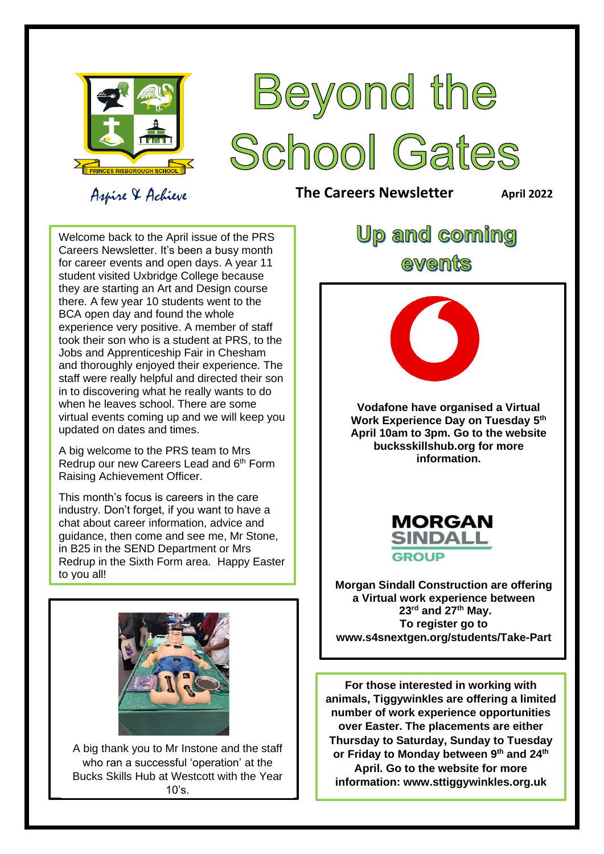

# Beyond the School Gates

### Aspire & Achieve

**The Careers Newsletter April** 2022

 for career events and open days. A year 11 they are starting an Art and Design course staff were really helpful and directed their son in to discovering what he really wants to do virtual events coming up and we will keep you updated on dates and times. Welcome back to the April issue of the PRS Careers Newsletter. It's been a busy month student visited Uxbridge College because there. A few year 10 students went to the BCA open day and found the whole experience very positive. A member of staff took their son who is a student at PRS, to the Jobs and Apprenticeship Fair in Chesham and thoroughly enjoyed their experience. The when he leaves school. There are some

A big welcome to the FRG team to this<br>Redrup our new Careers Lead and 6<sup>th</sup> Form Raising Achievement Officer. A big welcome to the PRS team to Mrs

This month's focus is careers in the care industry. Don't forget, if you want to have a chat about career information, advice and guidance, then come and see me, Mr Stone, in B25 in the SEND Department or Mrs Redrup in the Sixth Form area. Happy Easter to you all!



 $\overline{a}$ A big thank you to Mr Instone and the staff<br>who ran a queecostul inneration' at the **Bucks Skills Hub at Westcott with the Year** who ran a successful 'operation' at the  $10's$ .

## **Up and coming** ewents



**Vodafone have organised a Virtual Work Experience Day on Tuesday 5th April 10am to 3pm. Go to the website bucksskillshub.org for more information.**



**Morgan Sindall Construction are offering a Virtual work experience between 23rd and 27th May. To register go to www.s4snextgen.org/students/Take-Part**

**For those interested in working with animals, Tiggywinkles are offering a limited number of work experience opportunities over Easter. The placements are either Thursday to Saturday, Sunday to Tuesday or Friday to Monday between 9th and 24th April. Go to the website for more information: www.sttiggywinkles.org.uk**